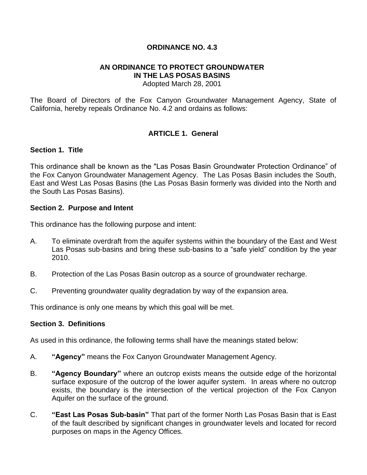### **ORDINANCE NO. 4.3**

#### **AN ORDINANCE TO PROTECT GROUNDWATER IN THE LAS POSAS BASINS** Adopted March 28, 2001

The Board of Directors of the Fox Canyon Groundwater Management Agency, State of California, hereby repeals Ordinance No. 4.2 and ordains as follows:

## **ARTICLE 1. General**

#### **Section 1. Title**

This ordinance shall be known as the "Las Posas Basin Groundwater Protection Ordinance" of the Fox Canyon Groundwater Management Agency. The Las Posas Basin includes the South, East and West Las Posas Basins (the Las Posas Basin formerly was divided into the North and the South Las Posas Basins).

#### **Section 2. Purpose and Intent**

This ordinance has the following purpose and intent:

- A. To eliminate overdraft from the aquifer systems within the boundary of the East and West Las Posas sub-basins and bring these sub-basins to a "safe yield" condition by the year 2010.
- B. Protection of the Las Posas Basin outcrop as a source of groundwater recharge.
- C. Preventing groundwater quality degradation by way of the expansion area.

This ordinance is only one means by which this goal will be met.

#### **Section 3. Definitions**

As used in this ordinance, the following terms shall have the meanings stated below:

- A. **"Agency"** means the Fox Canyon Groundwater Management Agency.
- B. **"Agency Boundary"** where an outcrop exists means the outside edge of the horizontal surface exposure of the outcrop of the lower aquifer system. In areas where no outcrop exists, the boundary is the intersection of the vertical projection of the Fox Canyon Aquifer on the surface of the ground.
- C. **"East Las Posas Sub-basin"** That part of the former North Las Posas Basin that is East of the fault described by significant changes in groundwater levels and located for record purposes on maps in the Agency Offices.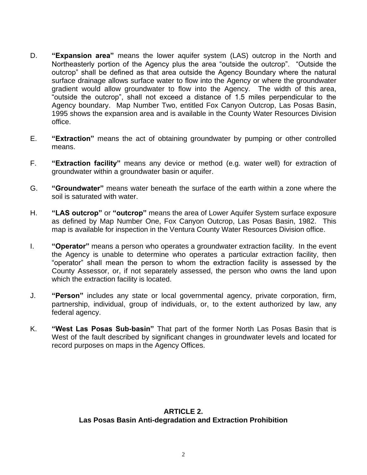- D. **"Expansion area"** means the lower aquifer system (LAS) outcrop in the North and Northeasterly portion of the Agency plus the area "outside the outcrop". "Outside the outcrop" shall be defined as that area outside the Agency Boundary where the natural surface drainage allows surface water to flow into the Agency or where the groundwater gradient would allow groundwater to flow into the Agency. The width of this area, "outside the outcrop", shall not exceed a distance of 1.5 miles perpendicular to the Agency boundary. Map Number Two, entitled Fox Canyon Outcrop, Las Posas Basin, 1995 shows the expansion area and is available in the County Water Resources Division office.
- E. **"Extraction"** means the act of obtaining groundwater by pumping or other controlled means.
- F. **"Extraction facility"** means any device or method (e.g. water well) for extraction of groundwater within a groundwater basin or aquifer.
- G. **"Groundwater"** means water beneath the surface of the earth within a zone where the soil is saturated with water.
- H. **"LAS outcrop"** or **"outcrop"** means the area of Lower Aquifer System surface exposure as defined by Map Number One, Fox Canyon Outcrop, Las Posas Basin, 1982. This map is available for inspection in the Ventura County Water Resources Division office.
- I. **"Operator"** means a person who operates a groundwater extraction facility. In the event the Agency is unable to determine who operates a particular extraction facility, then "operator" shall mean the person to whom the extraction facility is assessed by the County Assessor, or, if not separately assessed, the person who owns the land upon which the extraction facility is located.
- J. **"Person"** includes any state or local governmental agency, private corporation, firm, partnership, individual, group of individuals, or, to the extent authorized by law, any federal agency.
- K. **"West Las Posas Sub-basin"** That part of the former North Las Posas Basin that is West of the fault described by significant changes in groundwater levels and located for record purposes on maps in the Agency Offices.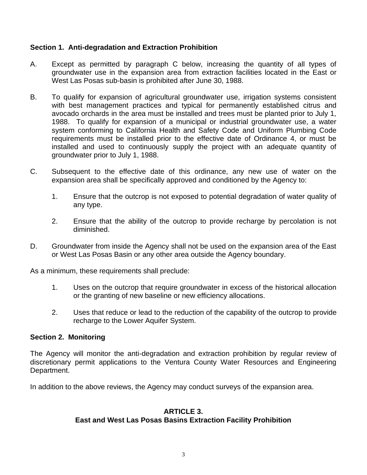## **Section 1. Anti-degradation and Extraction Prohibition**

- A. Except as permitted by paragraph C below, increasing the quantity of all types of groundwater use in the expansion area from extraction facilities located in the East or West Las Posas sub-basin is prohibited after June 30, 1988.
- B. To qualify for expansion of agricultural groundwater use, irrigation systems consistent with best management practices and typical for permanently established citrus and avocado orchards in the area must be installed and trees must be planted prior to July 1, 1988. To qualify for expansion of a municipal or industrial groundwater use, a water system conforming to California Health and Safety Code and Uniform Plumbing Code requirements must be installed prior to the effective date of Ordinance 4, or must be installed and used to continuously supply the project with an adequate quantity of groundwater prior to July 1, 1988.
- C. Subsequent to the effective date of this ordinance, any new use of water on the expansion area shall be specifically approved and conditioned by the Agency to:
	- 1. Ensure that the outcrop is not exposed to potential degradation of water quality of any type.
	- 2. Ensure that the ability of the outcrop to provide recharge by percolation is not diminished.
- D. Groundwater from inside the Agency shall not be used on the expansion area of the East or West Las Posas Basin or any other area outside the Agency boundary.

As a minimum, these requirements shall preclude:

- 1. Uses on the outcrop that require groundwater in excess of the historical allocation or the granting of new baseline or new efficiency allocations.
- 2. Uses that reduce or lead to the reduction of the capability of the outcrop to provide recharge to the Lower Aquifer System.

#### **Section 2. Monitoring**

The Agency will monitor the anti-degradation and extraction prohibition by regular review of discretionary permit applications to the Ventura County Water Resources and Engineering Department.

In addition to the above reviews, the Agency may conduct surveys of the expansion area.

#### **ARTICLE 3. East and West Las Posas Basins Extraction Facility Prohibition**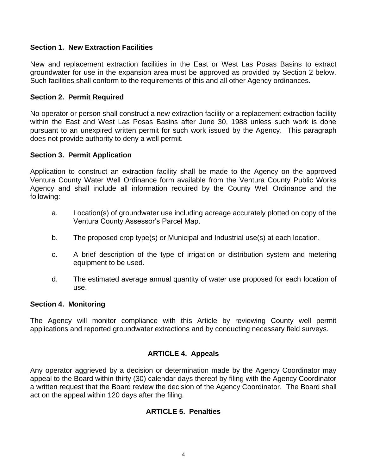### **Section 1. New Extraction Facilities**

New and replacement extraction facilities in the East or West Las Posas Basins to extract groundwater for use in the expansion area must be approved as provided by Section 2 below. Such facilities shall conform to the requirements of this and all other Agency ordinances.

### **Section 2. Permit Required**

No operator or person shall construct a new extraction facility or a replacement extraction facility within the East and West Las Posas Basins after June 30, 1988 unless such work is done pursuant to an unexpired written permit for such work issued by the Agency. This paragraph does not provide authority to deny a well permit.

## **Section 3. Permit Application**

Application to construct an extraction facility shall be made to the Agency on the approved Ventura County Water Well Ordinance form available from the Ventura County Public Works Agency and shall include all information required by the County Well Ordinance and the following:

- a. Location(s) of groundwater use including acreage accurately plotted on copy of the Ventura County Assessor's Parcel Map.
- b. The proposed crop type(s) or Municipal and Industrial use(s) at each location.
- c. A brief description of the type of irrigation or distribution system and metering equipment to be used.
- d. The estimated average annual quantity of water use proposed for each location of use.

#### **Section 4. Monitoring**

The Agency will monitor compliance with this Article by reviewing County well permit applications and reported groundwater extractions and by conducting necessary field surveys.

# **ARTICLE 4. Appeals**

Any operator aggrieved by a decision or determination made by the Agency Coordinator may appeal to the Board within thirty (30) calendar days thereof by filing with the Agency Coordinator a written request that the Board review the decision of the Agency Coordinator. The Board shall act on the appeal within 120 days after the filing.

## **ARTICLE 5. Penalties**